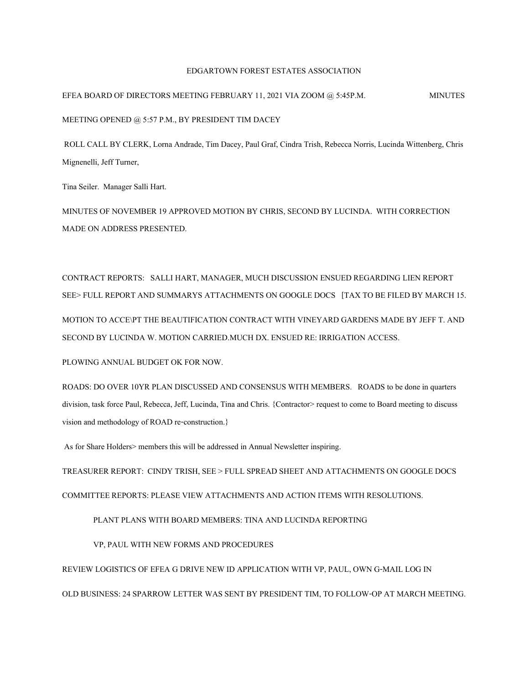## EDGARTOWN FOREST ESTATES ASSOCIATION

EFEA BOARD OF DIRECTORS MEETING FEBRUARY 11, 2021 VIA ZOOM @ 5:45P.M. MINUTES MEETING OPENED @ 5:57 P.M., BY PRESIDENT TIM DACEY

ROLL CALL BY CLERK, Lorna Andrade, Tim Dacey, Paul Graf, Cindra Trish, Rebecca Norris, Lucinda Wittenberg, Chris Mignenelli, Jeff Turner,

Tina Seiler. Manager Salli Hart.

MINUTES OF NOVEMBER 19 APPROVED MOTION BY CHRIS, SECOND BY LUCINDA. WITH CORRECTION MADE ON ADDRESS PRESENTED.

CONTRACT REPORTS: SALLI HART, MANAGER, MUCH DISCUSSION ENSUED REGARDING LIEN REPORT SEE>FULL REPORT AND SUMMARYS ATTACHMENTS ON GOOGLE DOCS [TAX TO BE FILED BY MARCH 15. MOTION TO ACCE\PT THE BEAUTIFICATION CONTRACT WITH VINEYARD GARDENS MADE BY JEFF T. AND SECOND BY LUCINDA W. MOTION CARRIED.MUCH DX. ENSUED RE: IRRIGATION ACCESS.

PLOWING ANNUAL BUDGET OK FOR NOW.

ROADS: DO OVER 10YR PLAN DISCUSSED AND CONSENSUS WITH MEMBERS. ROADS to be done in quarters division, task force Paul, Rebecca, Jeff, Lucinda, Tina and Chris. {Contractor>request to come to Board meeting to discuss vision and methodology of ROAD re-construction.}

As for Share Holders> members this will be addressed in Annual Newsletter inspiring.

TREASURER REPORT: CINDY TRISH, SEE >FULL SPREAD SHEET AND ATTACHMENTS ON GOOGLE DOCS

COMMITTEE REPORTS: PLEASE VIEW ATTACHMENTS AND ACTION ITEMS WITH RESOLUTIONS.

PLANT PLANS WITH BOARD MEMBERS: TINA AND LUCINDA REPORTING

VP, PAUL WITH NEW FORMS AND PROCEDURES

REVIEW LOGISTICS OF EFEA G DRIVE NEW ID APPLICATION WITH VP, PAUL, OWN G-MAIL LOG IN OLD BUSINESS: 24 SPARROW LETTER WAS SENT BY PRESIDENT TIM, TO FOLLOW-OP AT MARCH MEETING.